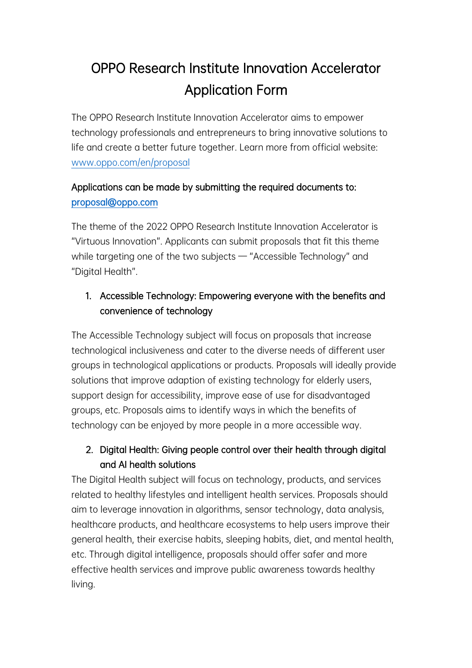# OPPO Research Institute Innovation Accelerator Application Form

The OPPO Research Institute Innovation Accelerator aims to empower technology professionals and entrepreneurs to bring innovative solutions to life and create a better future together. Learn more from official website: www.oppo.com/en/proposal

## Applications can be made by submitting the required documents to: proposal@oppo.com

The theme of the 2022 OPPO Research Institute Innovation Accelerator is "Virtuous Innovation". Applicants can submit proposals that fit this theme while targeting one of the two subjects — "Accessible Technology" and "Digital Health".

## 1. Accessible Technology: Empowering everyone with the benefits and convenience of technology

The Accessible Technology subject will focus on proposals that increase technological inclusiveness and cater to the diverse needs of different user groups in technological applications or products. Proposals will ideally provide solutions that improve adaption of existing technology for elderly users, support design for accessibility, improve ease of use for disadvantaged groups, etc. Proposals aims to identify ways in which the benefits of technology can be enjoyed by more people in a more accessible way.

### 2. Digital Health: Giving people control over their health through digital and AI health solutions

The Digital Health subject will focus on technology, products, and services related to healthy lifestyles and intelligent health services. Proposals should aim to leverage innovation in algorithms, sensor technology, data analysis, healthcare products, and healthcare ecosystems to help users improve their general health, their exercise habits, sleeping habits, diet, and mental health, etc. Through digital intelligence, proposals should offer safer and more effective health services and improve public awareness towards healthy living.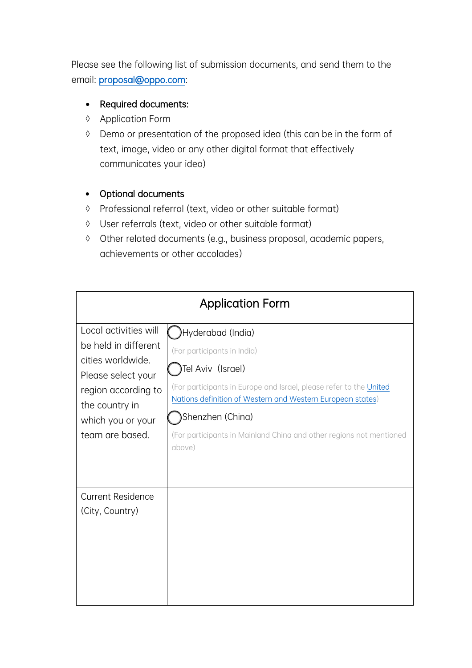Please see the following list of submission documents, and send them to the email: proposal@oppo.com:

#### • Required documents:

- à Application Form
- à Demo or presentation of the proposed idea (this can be in the form of text, image, video or any other digital format that effectively communicates your idea)

#### • Optional documents

- à Professional referral (text, video or other suitable format)
- à User referrals (text, video or other suitable format)
- à Other related documents (e.g., business proposal, academic papers, achievements or other accolades)

| <b>Application Form</b>                                                                                                                                                   |                                                                                                                                                                                                                                                                                                                |  |
|---------------------------------------------------------------------------------------------------------------------------------------------------------------------------|----------------------------------------------------------------------------------------------------------------------------------------------------------------------------------------------------------------------------------------------------------------------------------------------------------------|--|
| Local activities will<br>be held in different<br>cities worldwide.<br>Please select your<br>region according to<br>the country in<br>which you or your<br>team are based. | Hyderabad (India)<br>(For participants in India)<br>Tel Aviv (Israel)<br>(For participants in Europe and Israel, please refer to the United<br>Nations definition of Western and Western European states)<br>Shenzhen (China)<br>(For participants in Mainland China and other regions not mentioned<br>above) |  |
| <b>Current Residence</b><br>(City, Country)                                                                                                                               |                                                                                                                                                                                                                                                                                                                |  |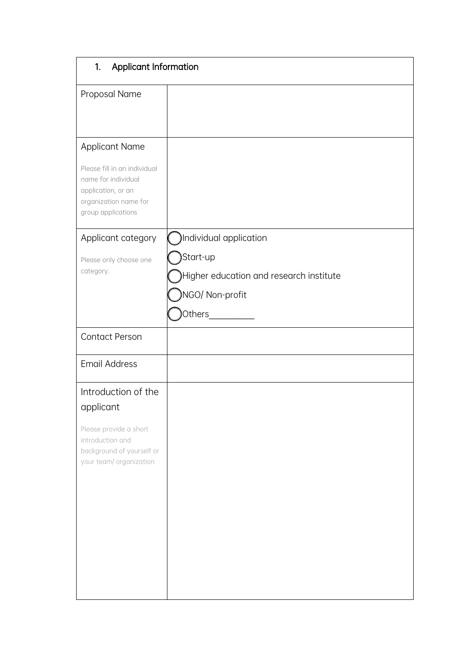| Applicant Information<br>1.                                                                                              |                                         |  |
|--------------------------------------------------------------------------------------------------------------------------|-----------------------------------------|--|
| Proposal Name                                                                                                            |                                         |  |
| <b>Applicant Name</b>                                                                                                    |                                         |  |
| Please fill in an individual<br>name for individual<br>application, or an<br>organization name for<br>group applications |                                         |  |
| Applicant category                                                                                                       | Individual application                  |  |
| Please only choose one<br>category.                                                                                      | Start-up                                |  |
|                                                                                                                          | Higher education and research institute |  |
|                                                                                                                          | <b>NGO/ Non-profit</b>                  |  |
|                                                                                                                          | Others <sub>_</sub>                     |  |
| <b>Contact Person</b>                                                                                                    |                                         |  |
| <b>Email Address</b>                                                                                                     |                                         |  |
| Introduction of the<br>applicant                                                                                         |                                         |  |
| Please provide a short<br>introduction and<br>background of yourself or<br>your team/ organization                       |                                         |  |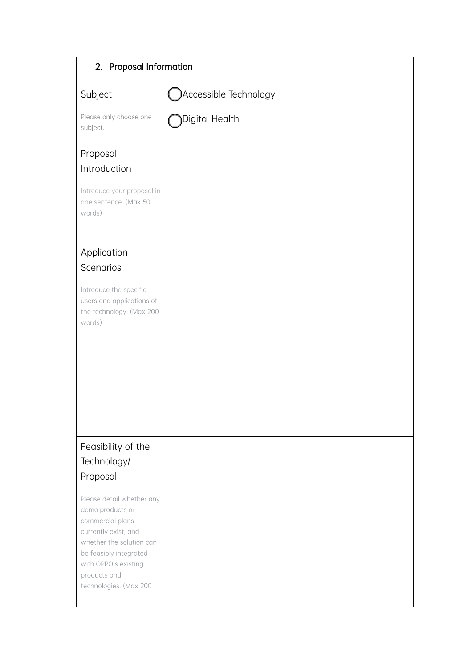| 2. Proposal Information                                                                                                                                                                                           |                        |  |
|-------------------------------------------------------------------------------------------------------------------------------------------------------------------------------------------------------------------|------------------------|--|
| Subject                                                                                                                                                                                                           | Accessible Technology) |  |
| Please only choose one<br>subject.                                                                                                                                                                                | Digital Health         |  |
| Proposal<br>Introduction                                                                                                                                                                                          |                        |  |
| Introduce your proposal in<br>one sentence. (Max 50<br>words)                                                                                                                                                     |                        |  |
| Application                                                                                                                                                                                                       |                        |  |
| Scenarios                                                                                                                                                                                                         |                        |  |
| Introduce the specific<br>users and applications of<br>the technology. (Max 200<br>words)                                                                                                                         |                        |  |
| Feasibility of the<br>Technology/<br>Proposal                                                                                                                                                                     |                        |  |
| Please detail whether any<br>demo products or<br>commercial plans<br>currently exist, and<br>whether the solution can<br>be feasibly integrated<br>with OPPO's existing<br>products and<br>technologies. (Max 200 |                        |  |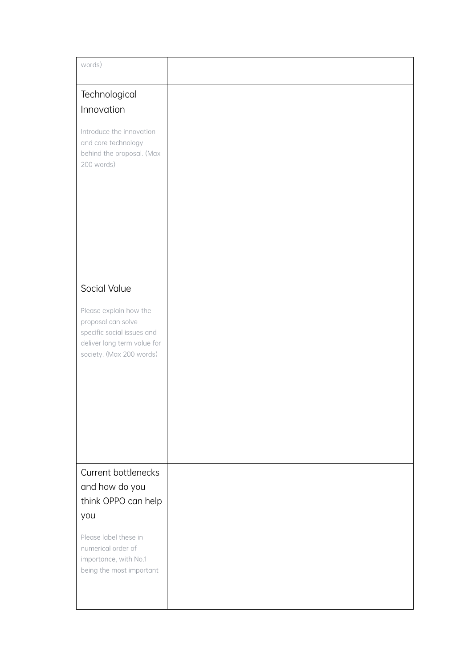| words)                                                                                                                                |
|---------------------------------------------------------------------------------------------------------------------------------------|
| Technological<br>Innovation                                                                                                           |
| Introduce the innovation<br>and core technology<br>behind the proposal. (Max<br>200 words)                                            |
| Social Value                                                                                                                          |
| Please explain how the<br>proposal can solve<br>specific social issues and<br>deliver long term value for<br>society. (Max 200 words) |
| Current bottlenecks<br>and how do you<br>think OPPO can help<br>you                                                                   |
| Please label these in<br>numerical order of<br>importance, with No.1<br>being the most important                                      |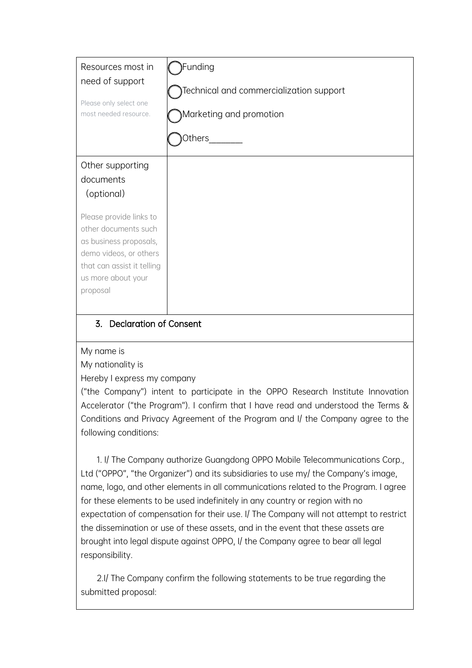| Resources most in<br>need of support<br>Please only select one<br>most needed resource.                                                                             | unding<br>Technical and commercialization support<br>Marketing and promotion<br>Others |
|---------------------------------------------------------------------------------------------------------------------------------------------------------------------|----------------------------------------------------------------------------------------|
| Other supporting<br>documents<br>(optional)                                                                                                                         |                                                                                        |
| Please provide links to<br>other documents such<br>as business proposals,<br>demo videos, or others<br>that can assist it telling<br>us more about your<br>proposal |                                                                                        |

#### 3. Declaration of Consent

My name is

My nationality is

Hereby I express my company

("the Company") intent to participate in the OPPO Research Institute Innovation Accelerator ("the Program"). I confirm that I have read and understood the Terms & Conditions and Privacy Agreement of the Program and I/ the Company agree to the following conditions:

1. I/ The Company authorize Guangdong OPPO Mobile Telecommunications Corp., Ltd ("OPPO", "the Organizer") and its subsidiaries to use my/ the Company's image, name, logo, and other elements in all communications related to the Program. I agree for these elements to be used indefinitely in any country or region with no expectation of compensation for their use. I/ The Company will not attempt to restrict the dissemination or use of these assets, and in the event that these assets are brought into legal dispute against OPPO, I/ the Company agree to bear all legal responsibility.

2.I/ The Company confirm the following statements to be true regarding the submitted proposal: